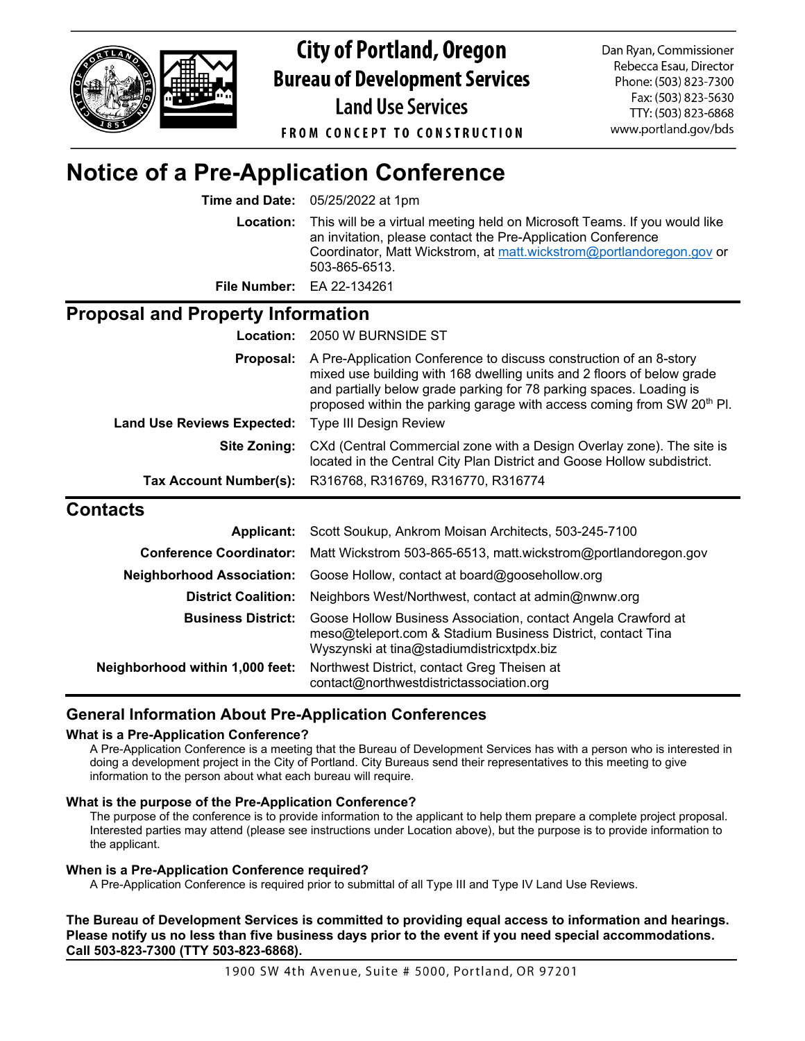

**City of Portland, Oregon Bureau of Development Services Land Use Services** 

Dan Ryan, Commissioner Rebecca Esau, Director Phone: (503) 823-7300 Fax: (503) 823-5630 TTY: (503) 823-6868 www.portland.gov/bds

**FROM CONCEPT TO CONSTRUCTION** 

# **Notice of a Pre-Application Conference**

**Time and Date:** 05/25/2022 at 1pm

**Location:** This will be a virtual meeting held on Microsoft Teams. If you would like an invitation, please contact the Pre-Application Conference Coordinator, Matt Wickstrom, at [matt.wickstrom@portlandoregon.gov](mailto:matt.wickstrom@portlandoregon.gov) or 503-865-6513.

**File Number:** EA 22-134261

## **Proposal and Property Information**

|                                   | <b>Location: 2050 W BURNSIDE ST</b>                                                                                                                                                                                                                                                                       |
|-----------------------------------|-----------------------------------------------------------------------------------------------------------------------------------------------------------------------------------------------------------------------------------------------------------------------------------------------------------|
| Proposal:                         | A Pre-Application Conference to discuss construction of an 8-story<br>mixed use building with 168 dwelling units and 2 floors of below grade<br>and partially below grade parking for 78 parking spaces. Loading is<br>proposed within the parking garage with access coming from SW 20 <sup>th</sup> Pl. |
| <b>Land Use Reviews Expected:</b> | <b>Type III Design Review</b>                                                                                                                                                                                                                                                                             |
| Site Zoning:                      | CXd (Central Commercial zone with a Design Overlay zone). The site is<br>located in the Central City Plan District and Goose Hollow subdistrict.                                                                                                                                                          |
|                                   | Tax Account Number(s): R316768, R316769, R316770, R316774                                                                                                                                                                                                                                                 |
|                                   |                                                                                                                                                                                                                                                                                                           |

## **Contacts**

|                                 | Applicant: Scott Soukup, Ankrom Moisan Architects, 503-245-7100                                                                                                           |
|---------------------------------|---------------------------------------------------------------------------------------------------------------------------------------------------------------------------|
|                                 | <b>Conference Coordinator:</b> Matt Wickstrom 503-865-6513, matt.wickstrom@portlandoregon.gov                                                                             |
|                                 | Neighborhood Association: Goose Hollow, contact at board@goosehollow.org                                                                                                  |
| <b>District Coalition:</b>      | Neighbors West/Northwest, contact at admin@nwnw.org                                                                                                                       |
| <b>Business District:</b>       | Goose Hollow Business Association, contact Angela Crawford at<br>meso@teleport.com & Stadium Business District, contact Tina<br>Wyszynski at tina@stadiumdistricxtpdx.biz |
| Neighborhood within 1,000 feet: | Northwest District, contact Greg Theisen at<br>contact@northwestdistrictassociation.org                                                                                   |

## **General Information About Pre-Application Conferences**

#### **What is a Pre-Application Conference?**

A Pre-Application Conference is a meeting that the Bureau of Development Services has with a person who is interested in doing a development project in the City of Portland. City Bureaus send their representatives to this meeting to give information to the person about what each bureau will require.

#### **What is the purpose of the Pre-Application Conference?**

The purpose of the conference is to provide information to the applicant to help them prepare a complete project proposal. Interested parties may attend (please see instructions under Location above), but the purpose is to provide information to the applicant.

### **When is a Pre-Application Conference required?**

A Pre-Application Conference is required prior to submittal of all Type III and Type IV Land Use Reviews.

**The Bureau of Development Services is committed to providing equal access to information and hearings. Please notify us no less than five business days prior to the event if you need special accommodations. Call 503-823-7300 (TTY 503-823-6868).**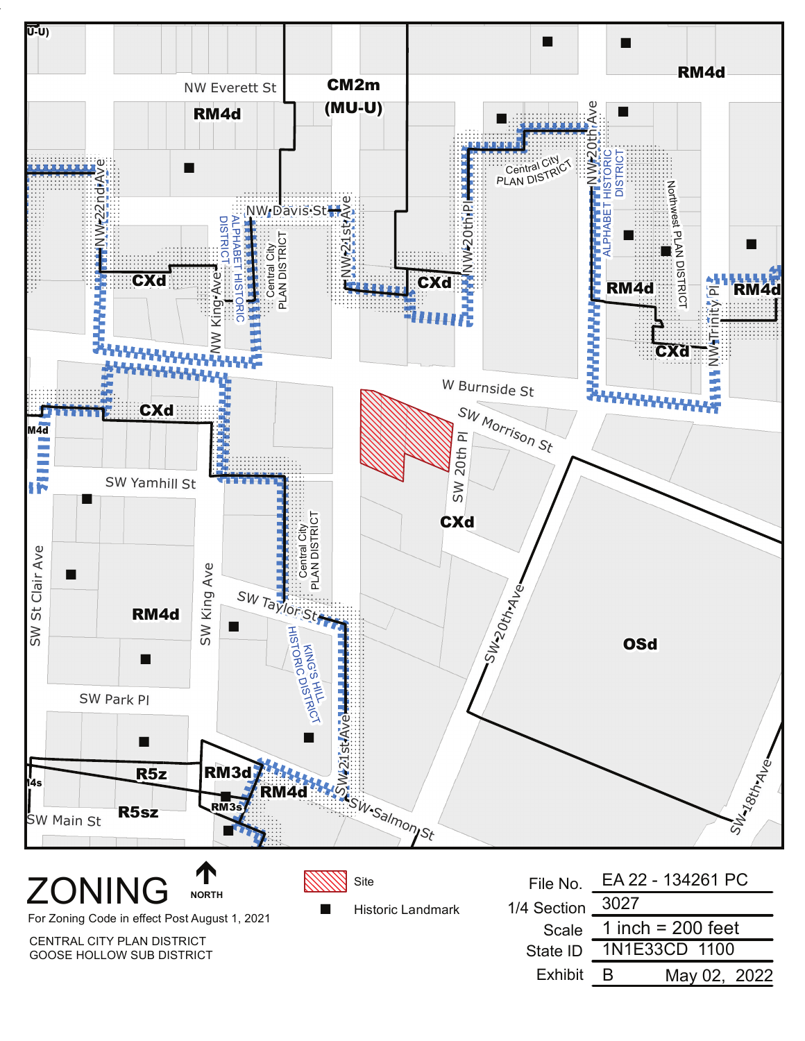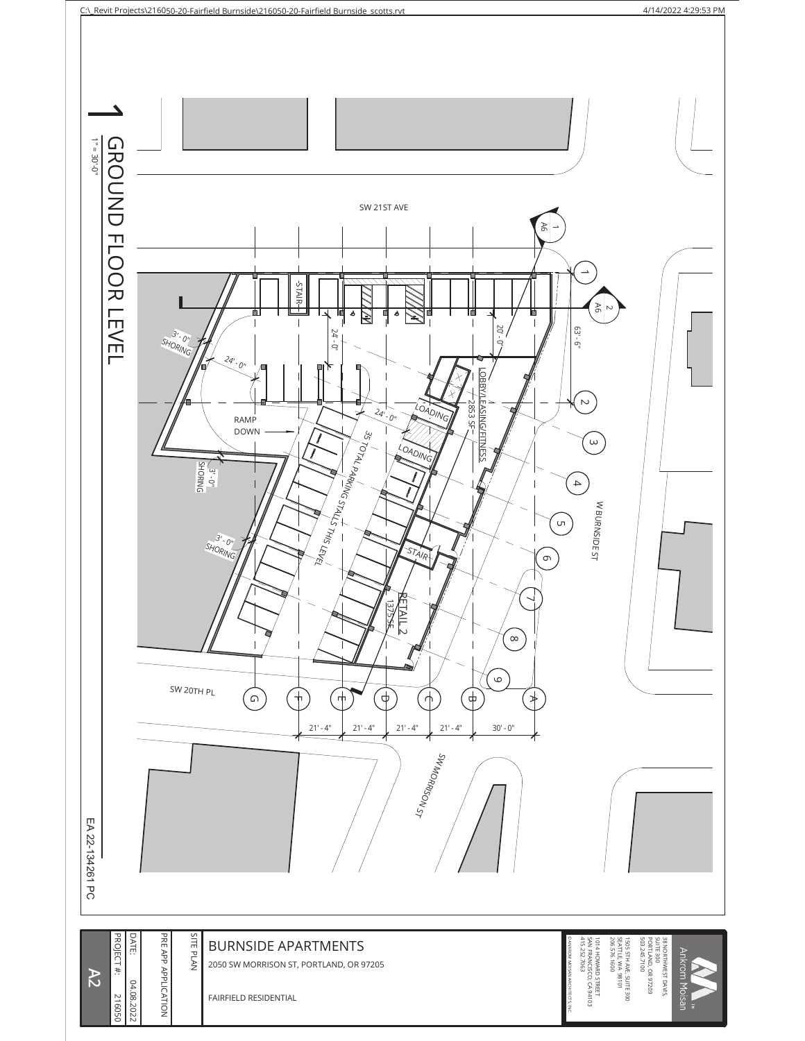